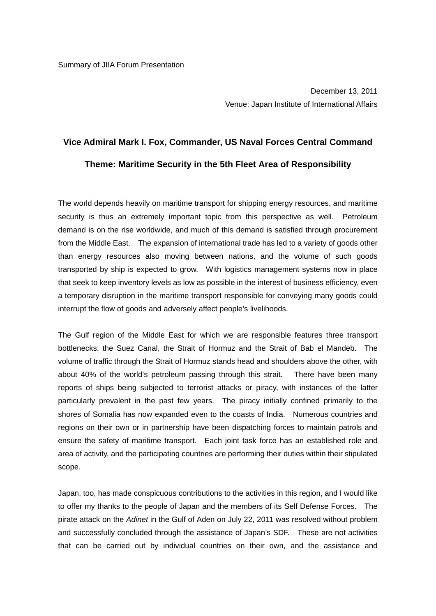December 13, 2011 Venue: Japan Institute of International Affairs

## **Vice Admiral Mark I. Fox, Commander, US Naval Forces Central Command Theme: Maritime Security in the 5th Fleet Area of Responsibility**

The world depends heavily on maritime transport for shipping energy resources, and maritime security is thus an extremely important topic from this perspective as well. Petroleum demand is on the rise worldwide, and much of this demand is satisfied through procurement from the Middle East. The expansion of international trade has led to a variety of goods other than energy resources also moving between nations, and the volume of such goods transported by ship is expected to grow. With logistics management systems now in place that seek to keep inventory levels as low as possible in the interest of business efficiency, even a temporary disruption in the maritime transport responsible for conveying many goods could interrupt the flow of goods and adversely affect people's livelihoods.

The Gulf region of the Middle East for which we are responsible features three transport bottlenecks: the Suez Canal, the Strait of Hormuz and the Strait of Bab el Mandeb. The volume of traffic through the Strait of Hormuz stands head and shoulders above the other, with about 40% of the world's petroleum passing through this strait. There have been many reports of ships being subjected to terrorist attacks or piracy, with instances of the latter particularly prevalent in the past few years. The piracy initially confined primarily to the shores of Somalia has now expanded even to the coasts of India. Numerous countries and regions on their own or in partnership have been dispatching forces to maintain patrols and ensure the safety of maritime transport. Each joint task force has an established role and area of activity, and the participating countries are performing their duties within their stipulated scope.

Japan, too, has made conspicuous contributions to the activities in this region, and I would like to offer my thanks to the people of Japan and the members of its Self Defense Forces. The pirate attack on the *Adinet* in the Gulf of Aden on July 22, 2011 was resolved without problem and successfully concluded through the assistance of Japan's SDF. These are not activities that can be carried out by individual countries on their own, and the assistance and